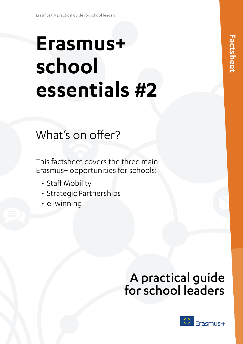# **Erasmus+ school essentials #2**

## What's on offer?

This factsheet covers the three main Erasmus+ opportunities for schools:

- Staff Mobility
- Strategic Partnerships
- eTwinning

## A practical guide for school leaders

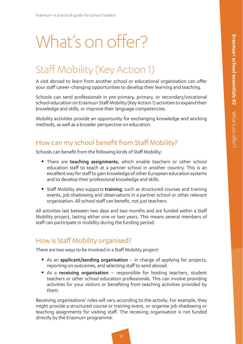# What's on offer?

## Staff Mobility (Key Action 1)

A visit abroad to learn from another school or educational organisation can offer your staff career-changing opportunities to develop their learning and teaching.

Schools can send professionals in pre-primary, primary, or secondary/vocational school education on Erasmus+ Staff Mobility (Key Action 1) activities to expand their knowledge and skills, or improve their language competencies.

Mobility activities provide an opportunity for exchanging knowledge and working methods, as well as a broader perspective on education.

#### How can my school benefit from Staff Mobility?

Schools can benefit from the following kinds of Staff Mobility:

- There are teaching assignments, which enable teachers or other school education staff to teach at a partner school in another country. This is an excellent way for staff to gain knowledge of other European education systems and to develop their professional knowledge and skills.
- Staff Mobility also supports training, such as structured courses and training events, job shadowing and observations in a partner school or other relevant organisation. All school staff can benefit, not just teachers.

All activities last between two days and two months and are funded within a Staff Mobility project, lasting either one or two years. This means several members of staff can participate in mobility during the funding period.

#### How is Staff Mobility organised?

There are two ways to be involved in a Staff Mobility project:

- As an applicant/sending organisation in charge of applying for projects, reporting on outcomes, and selecting staff to send abroad.
- As a receiving organisation responsible for hosting teachers, student teachers or other school education professionals. This can involve providing activities for your visitors or benefiting from teaching activities provided by them.

Receiving organisations' roles will vary according to the activity. For example, they might provide a structured course or training event, or organise job shadowing or teaching assignments for visiting staff. The receiving organisation is not funded directly by the Erasmus+ programme.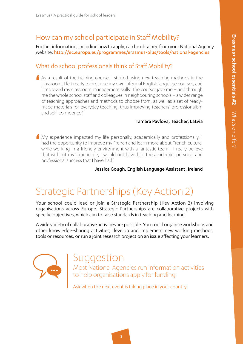#### How can my school participate in Staff Mobility?

Further information, including how to apply, can be obtained from your National Agency website: http://ec.europa.eu/programmes/erasmus-plus/tools/national-agencies

#### What do school professionals think of Staff Mobility?

'  $\bigcap$  As a result of the training course, I started using new teaching methods in the classroom, I felt ready to organise my own informal English language courses, and I improved my classroom management skills. The course gave me – and through me the whole school staff and colleagues in neighbouring schools – a wider range of teaching approaches and methods to choose from, as well as a set of readymade materials for everyday teaching, thus improving teachers' professionalism and self-confidence.'

#### Tamara Pavlova, Teacher, Latvia

' My experience impacted my life personally, academically and professionally. I had the opportunity to improve my French and learn more about French culture, while working in a friendly environment with a fantastic team… I really believe that without my experience, I would not have had the academic, personal and professional success that I have had.'

Jessica Gough, English Language Assistant, Ireland

## Strategic Partnerships (Key Action 2)

Your school could lead or join a Strategic Partnership (Key Action 2) involving organisations across Europe. Strategic Partnerships are collaborative projects with specific objectives, which aim to raise standards in teaching and learning.

A wide variety of collaborative activities are possible. You could organise workshops and other knowledge-sharing activities, develop and implement new working methods, tools or resources, or run a joint research project on an issue affecting your learners.



## Suggestion

Most National Agencies run information activities to help organisations apply for funding.

Ask when the next event is taking place in your country.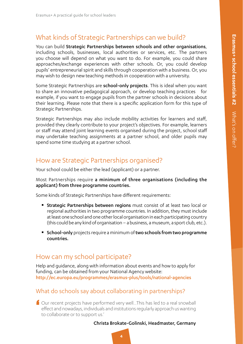#### 1.2.2.1 What kinds of Strategic Partnerships can we build?

You can build Strategic Partnerships between schools and other organisations, including schools, businesses, local authorities or services, etc. The partners you choose will depend on what you want to do. For example, you could share approaches/exchange experiences with other schools. Or, you could develop pupils' entrepreneurial spirit and skills through cooperation with a business. Or, you may wish to design new teaching methods in cooperation with a university.

Some Strategic Partnerships are **school-only projects**. This is ideal when you want to share an innovative pedagogical approach, or develop teaching practices ̶ for example, if you want to engage pupils from the partner schools in decisions about their learning. Please note that there is a specific application form for this type of Strategic Partnerships.

Strategic Partnerships may also include mobility activities for learners and staff, provided they clearly contribute to your project's objectives. For example, learners or staff may attend joint learning events organised during the project, school staff may undertake teaching assignments at a partner school, and older pupils may spend some time studying at a partner school.

#### How are Strategic Partnerships organised?

Your school could be either the lead (applicant) or a partner.

Most Partnerships require a minimum of three organisations (including the applicant) from three programme countries.

Some kinds of Strategic Partnerships have different requirements:

- **Strategic Partnerships between regions** must consist of at least two local or regional authorities in two programme countries. In addition, they must include at least one school and one other local organisation in each participating country (this could be any kind of organisation – a business, a museum, a sport club, etc.).
- **School-only** projects require a minimum of **two schools from two programme** countries.

#### How can my school participate?

Help and guidance, along with information about events and how to apply for funding, can be obtained from your National Agency website: <http://ec.europa.eu/programmes/erasmus-plus/tools/national-agencies>

#### What do schools say about collaborating in partnerships?

' Our recent projects have performed very well...This has led to a real snowball effect and nowadays, individuals and institutions regularly approach us wanting to collaborate or to support us.'

#### Christa Brokate-Golinski, Headmaster, Germany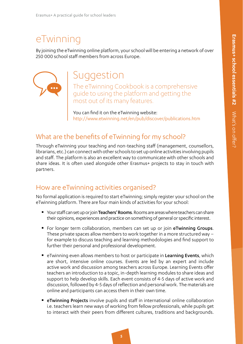### eTwinning

By joining the eTwinning online platform, your school will be entering a network of over 250 000 school staff members from across Europe.



## Suggestion

The eTwinning Cookbook is a comprehensive guide to using the platform and getting the most out of its many features.

You can find it on the eTwinning website: [http://www.etwinning.net/en/pub/discover/publications.htm](http://www.etwinning.net/en/pub/discover/publications.htm ) 

#### What are the benefits of eTwinning for my school?

Through eTwinning your teaching and non-teaching staff (management, counsellors, librarians, etc.) can connect with other schools to set up online activities involving pupils and staff. The platform is also an excellent way to communicate with other schools and share ideas. It is often used alongside other Erasmus+ projects to stay in touch with partners.

#### How are eTwinning activities organised?

No formal application is required to start eTwinning; simply register your school on the eTwinning platform. There are four main kinds of activities for your school:

- Your staff can set up or join Teachers' Rooms. Rooms are areas where teachers can share their opinions, experiences and practice on something of general or specific interest.
- For longer term collaboration, members can set up or join eTwinning Groups. These private spaces allow members to work together in a more structured way – for example to discuss teaching and learning methodologies and find support to further their personal and professional development.
- **EXMILION** EVEN allows members to host or participate in Learning Events, which are short, intensive online courses. Events are led by an expert and include active work and discussion among teachers across Europe. Learning Events offer teachers an introduction to a topic, in-depth learning modules to share ideas and support to help develop skills. Each event consists of 4-5 days of active work and discussion, followed by 4-5 days of reflection and personal work. The materials are online and participants can access them in their own time.
- **EXED FET IN A Projects** involve pupils and staff in international online collaboration i.e. teachers learn new ways of working from fellow professionals, while pupils get to interact with their peers from different cultures, traditions and backgrounds.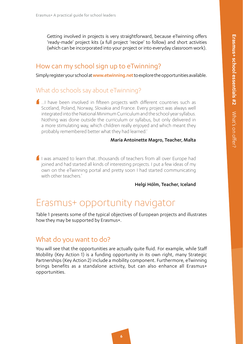Getting involved in projects is very straightforward, because eTwinning offers 'ready-made' project kits (a full project 'recipe' to follow) and short activities (which can be incorporated into your project or into everyday classroom work).

#### How can my school sign up to eTwinning?

Simply register your school at [www.etwinning.net](http://www.etwinning.net) to explore the opportunities available.

#### What do schools say about eTwinning?

'  $\blacksquare$  ... I have been involved in fifteen projects with different countries such as Scotland, Poland, Norway, Slovakia and France. Every project was always well integrated into the National Minimum Curriculum and the school year syllabus. Nothing was done outside the curriculum or syllabus, but only delivered in a more stimulating way, which children really enjoyed and which meant they probably remembered better what they had learned.'

#### Maria Antoinette Magro, Teacher, Malta

'  $\blacksquare$  I was amazed to learn that...thousands of teachers from all over Europe had joined and had started all kinds of interesting projects. I put a few ideas of my own on the eTwinning portal and pretty soon I had started communicating with other teachers.'

Helgi Hólm, Teacher, Iceland

### Erasmus+ opportunity navigator

Table 1 presents some of the typical objectives of European projects and illustrates how they may be supported by Erasmus+.

#### What do you want to do?

You will see that the opportunities are actually quite fluid. For example, while Staff Mobility (Key Action 1) is a funding opportunity in its own right, many Strategic Partnerships (Key Action 2) include a mobility component. Furthermore, eTwinning brings benefits as a standalone activity, but can also enhance all Erasmus+ opportunities.